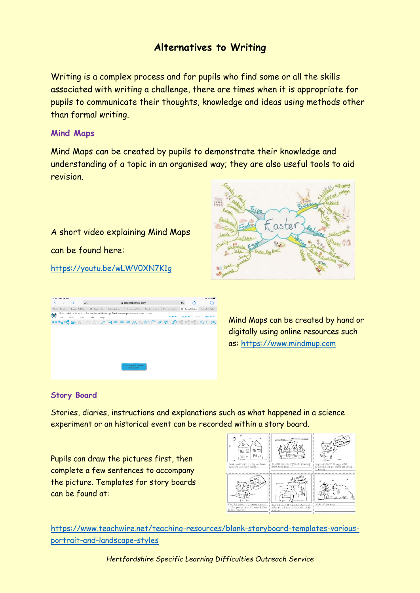# **Alternatives to Writing**

Writing is a complex process and for pupils who find some or all the skills associated with writing a challenge, there are times when it is appropriate for pupils to communicate their thoughts, knowledge and ideas using methods other than formal writing.

# **Mind Maps**

Mind Maps can be created by pupils to demonstrate their knowledge and understanding of a topic in an organised way; they are also useful tools to aid revision.

A short video explaining Mind Maps can be found here:

# <https://youtu.be/wLWV0XN7K1g>





Mind Maps can be created by hand or digitally using online resources such as: [https://www.mindmup.com](https://www.mindmup.com/)

# **Story Board**

Stories, diaries, instructions and explanations such as what happened in a science experiment or an historical event can be recorded within a story board.

Pupils can draw the pictures first, then complete a few sentences to accompany the picture. Templates for story boards can be found at:



[https://www.teachwire.net/teaching-resources/blank-storyboard-templates-various](https://www.teachwire.net/teaching-resources/blank-storyboard-templates-various-portrait-and-landscape-styles)[portrait-and-landscape-styles](https://www.teachwire.net/teaching-resources/blank-storyboard-templates-various-portrait-and-landscape-styles)

*Hertfordshire Specific Learning Difficulties Outreach Service*